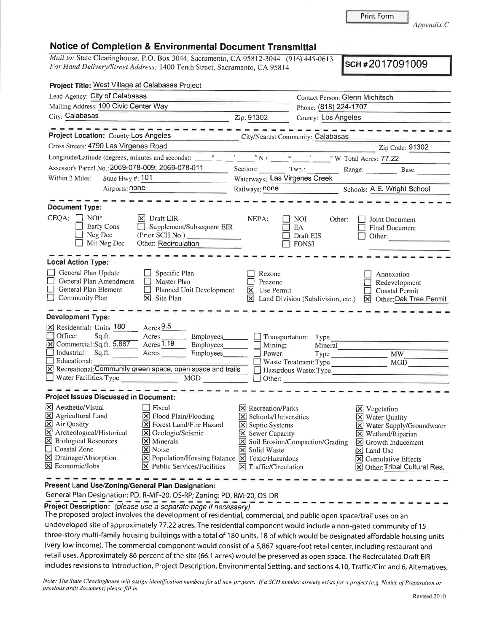Print Form

*Appendix C*

## **Notice of Completion & Environmental Document Transmittal**

*Mail to:* State Clearinghouse, <sup>P</sup>.O. Box 3044, Sacramento, CA 95812-3044 (916) 445-0613 *For Hand Delivery/Street Address*: 1400 Tenth Street, Sacramento, CA 95814 **SCH** #2017091009

| Project Title: West Village at Calabasas Project                                                                                                                                                                                                                                                                                                                                                                                                                                    |                                                                                                                                                                                            |                                                                                                                                                                                                                                                                         |
|-------------------------------------------------------------------------------------------------------------------------------------------------------------------------------------------------------------------------------------------------------------------------------------------------------------------------------------------------------------------------------------------------------------------------------------------------------------------------------------|--------------------------------------------------------------------------------------------------------------------------------------------------------------------------------------------|-------------------------------------------------------------------------------------------------------------------------------------------------------------------------------------------------------------------------------------------------------------------------|
| Lead Agency: City of Calabasas                                                                                                                                                                                                                                                                                                                                                                                                                                                      |                                                                                                                                                                                            | Contact Person: Glenn Michitsch                                                                                                                                                                                                                                         |
| Mailing Address: 100 Civic Center Way                                                                                                                                                                                                                                                                                                                                                                                                                                               |                                                                                                                                                                                            | Phone: (818) 224-1707                                                                                                                                                                                                                                                   |
| City: Calabasas                                                                                                                                                                                                                                                                                                                                                                                                                                                                     | Zip: 91302                                                                                                                                                                                 | <b>County: Los Angeles</b>                                                                                                                                                                                                                                              |
| Project Location: County: Los Angeles                                                                                                                                                                                                                                                                                                                                                                                                                                               |                                                                                                                                                                                            | City/Nearest Community: Calabasas                                                                                                                                                                                                                                       |
| Cross Streets: 4790 Las Virgenes Road                                                                                                                                                                                                                                                                                                                                                                                                                                               |                                                                                                                                                                                            | Zip Code: 91302                                                                                                                                                                                                                                                         |
| Longitude/Latitude (degrees, minutes and seconds): ______________________________                                                                                                                                                                                                                                                                                                                                                                                                   |                                                                                                                                                                                            | $\sqrt{N}$ $N$ $\sqrt{N}$ $\sqrt{N}$ $\sqrt{N}$ Total Acres: 77.22                                                                                                                                                                                                      |
| Assessor's Parcel No.: 2069-078-009; 2069-078-011                                                                                                                                                                                                                                                                                                                                                                                                                                   |                                                                                                                                                                                            | Section: Twp.: Range: Base:                                                                                                                                                                                                                                             |
| Within 2 Miles:<br>State Hwy #: 101                                                                                                                                                                                                                                                                                                                                                                                                                                                 | Waterways: Las Virgenes Creek                                                                                                                                                              |                                                                                                                                                                                                                                                                         |
| Airports: none                                                                                                                                                                                                                                                                                                                                                                                                                                                                      | Railways: none                                                                                                                                                                             | Schools: A.E. Wright School                                                                                                                                                                                                                                             |
| <b>Document Type:</b><br>$CEQA: \Box$ NOP<br>$ \mathsf{X} $ Draft EIR<br><b>Early Cons</b><br>Supplement/Subsequent EIR<br>$\Box$<br>Neg Dec<br>(Prior SCH No.)<br>Mit Neg Dec<br>Other: Recirculation                                                                                                                                                                                                                                                                              | NEPA:                                                                                                                                                                                      | NOI.<br>Other:<br>Joint Document<br>EA<br>Final Document<br>Draft EIS<br>Other:<br><b>FONSI</b>                                                                                                                                                                         |
| <b>Local Action Type:</b><br>General Plan Update<br>$\Box$ Specific Plan<br>General Plan Amendment<br>$\Box$ Master Plan<br>$\Box$<br>General Plan Element<br>$\Box$ Planned Unit Development<br>Community Plan<br>$\overline{\mathsf{X}}$ Site Plan<br><b>Development Type:</b>                                                                                                                                                                                                    | Rezone<br>Prezone<br>$X$ Use Permit                                                                                                                                                        | Annexation<br>Redevelopment<br>Coastal Permit<br>I Land Division (Subdivision, etc.) [X] Other: Oak Tree Permit                                                                                                                                                         |
| $\rm A$<br>X Residential: Units 180<br>Office:<br>Sq.ft.<br>Acres<br>Employees_____<br>Acres 1.19<br>X Commercial: Sq.ft. 5,867<br>$Employes \frown$<br>$\Box$ Industrial: Sq.ft.<br>Acres<br>$\Box$ Educational:<br>X Recreational: Community green space, open space and trails<br>Water Facilities: Type MGD                                                                                                                                                                     | Mining:<br>Power:<br>$\Box$ Other:                                                                                                                                                         | $\Box$ Transportation: Type<br>Mineral<br>Type<br><b>MW</b><br>Waste Treatment: Type<br><b>MGD</b><br>Hazardous Waste: Type<br><u> 1980 - Jan Berlin, Amerikaansk politiker (</u>                                                                                       |
| <b>Project Issues Discussed in Document:</b>                                                                                                                                                                                                                                                                                                                                                                                                                                        |                                                                                                                                                                                            |                                                                                                                                                                                                                                                                         |
| <b>X</b> Aesthetic/Visual<br>  Fiscal<br>X Agricultural Land<br>$\Sigma$ Flood Plain/Flooding<br>X Air Quality<br>S Forest Land/Fire Hazard<br>$\boxtimes$ Archeological/Historical<br>X Geologic/Seismic<br><b>X</b> Biological Resources<br><b>X</b> Minerals<br>Coastal Zone<br>$\vert$ <b>X</b> Noise<br>X Drainage/Absorption<br>$\boxtimes$ Population/Housing Balance $\boxtimes$ Toxic/Hazardous<br>X Economic/Jobs<br>$ \mathbf{\overline{X}} $ Public Services/Facilities | $ \mathsf{X} $ Recreation/Parks<br>X Schools/Universities<br>$\boxed{\times}$ Septic Systems<br>$\boxed{\times}$ Sewer Capacity<br><b>X</b> Solid Waste<br>$\boxtimes$ Traffic/Circulation | $X$ Vegetation<br>X Water Quality<br>X Water Supply/Groundwater<br>$\boxtimes$ Wetland/Riparian<br>Soil Erosion/Compaction/Grading<br>$\boxed{\mathsf{X}}$ Growth Inducement<br>$ \mathsf{X} $ Land Use<br>X Cumulative Effects<br><b>X</b> Other: Tribal Cultural Res. |

**Present Land Use/Zoning/General Plan Designation:**

General Plan Designation:PD, <sup>R</sup>-MF-20, OS-RP;Zoning:PD,RM-20,OS-DR

**Project Description:** *(please use <sup>a</sup> separate page if necessary)*

The proposed project involves the development of residential, commercial, and public open space/trail uses on an undeveloped site of approximately 77.22 acres. The residential component would include <sup>a</sup> non-gated community of <sup>15</sup> three-story multi-family housing buildings with <sup>a</sup> total of <sup>180</sup> units,<sup>18</sup> of which would be designated affordable housing units (very low income). The commercial component would consist of a 5,867 square-foot retail center, including restaurant and retail uses. Approximately <sup>86</sup> percent of the site (66.1 acres) would be preserved as open space.The Recirculated Draft EIR includes revisions to Introduction, Project Description, Environmental Setting, and sections 4.10, Traffic/Circ and 6, Alternatives.

Note: The State Clearinghouse will assign identification numbers for all new projects. If a SCH number already exists for a project (e.g. Notice of Preparation or *previous draft document) please fill in.*